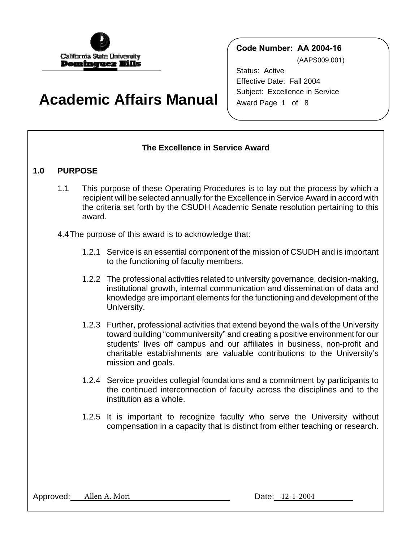

# **Academic Affairs Manual**

**Code Number: AA 2004-16**

(AAPS009.001)

Status: Active Effective Date: Fall 2004 Subject: Excellence in Service Award Page 1 of 8

# **The Excellence in Service Award**

# **1.0 PURPOSE**

- 1.1 This purpose of these Operating Procedures is to lay out the process by which a recipient will be selected annually for the Excellence in Service Award in accord with the criteria set forth by the CSUDH Academic Senate resolution pertaining to this award.
- 4.4 The purpose of this award is to acknowledge that:
	- 1.2.1 Service is an essential component of the mission of CSUDH and is important to the functioning of faculty members.
	- 1.2.2 The professional activities related to university governance, decision-making, institutional growth, internal communication and dissemination of data and knowledge are important elements for the functioning and development of the University.
	- 1.2.3 Further, professional activities that extend beyond the walls of the University toward building "communiversity" and creating a positive environment for our students' lives off campus and our affiliates in business, non-profit and charitable establishments are valuable contributions to the University's mission and goals.
	- 1.2.4 Service provides collegial foundations and a commitment by participants to the continued interconnection of faculty across the disciplines and to the institution as a whole.
	- 1.2.5 It is important to recognize faculty who serve the University without compensation in a capacity that is distinct from either teaching or research.

Approved: Allen A. Mori Date: 12-1-2004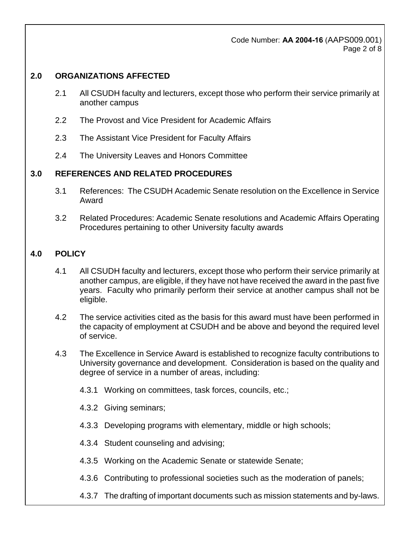Code Number: **AA 2004-16** (AAPS009.001) Page 2 of 8

## **2.0 ORGANIZATIONS AFFECTED**

- 2.1 All CSUDH faculty and lecturers, except those who perform their service primarily at another campus
- 2.2 The Provost and Vice President for Academic Affairs
- 2.3 The Assistant Vice President for Faculty Affairs
- 2.4 The University Leaves and Honors Committee

## **3.0 REFERENCES AND RELATED PROCEDURES**

- 3.1 References: The CSUDH Academic Senate resolution on the Excellence in Service Award
- 3.2 Related Procedures: Academic Senate resolutions and Academic Affairs Operating Procedures pertaining to other University faculty awards

## **4.0 POLICY**

- 4.1 All CSUDH faculty and lecturers, except those who perform their service primarily at another campus, are eligible, if they have not have received the award in the past five years. Faculty who primarily perform their service at another campus shall not be eligible.
- 4.2 The service activities cited as the basis for this award must have been performed in the capacity of employment at CSUDH and be above and beyond the required level of service.
- 4.3 The Excellence in Service Award is established to recognize faculty contributions to University governance and development. Consideration is based on the quality and degree of service in a number of areas, including:
	- 4.3.1 Working on committees, task forces, councils, etc.;
	- 4.3.2 Giving seminars;
	- 4.3.3 Developing programs with elementary, middle or high schools;
	- 4.3.4 Student counseling and advising;
	- 4.3.5 Working on the Academic Senate or statewide Senate;
	- 4.3.6 Contributing to professional societies such as the moderation of panels;
	- 4.3.7 The drafting of important documents such as mission statements and by-laws.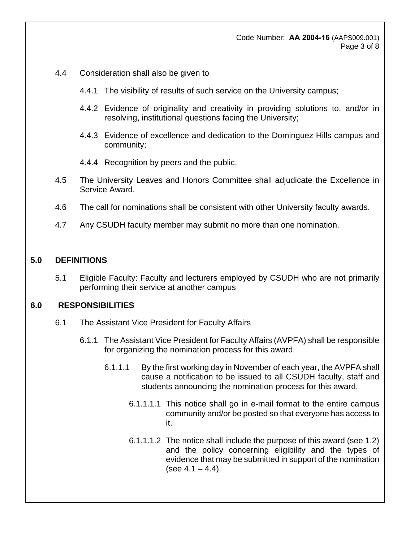#### Code Number: **AA 2004-16** (AAPS009.001) Page 3 of 8

- 4.4 Consideration shall also be given to
	- 4.4.1 The visibility of results of such service on the University campus;
	- 4.4.2 Evidence of originality and creativity in providing solutions to, and/or in resolving, institutional questions facing the University;
	- 4.4.3 Evidence of excellence and dedication to the Dominguez Hills campus and community;
	- 4.4.4 Recognition by peers and the public.
- 4.5 The University Leaves and Honors Committee shall adjudicate the Excellence in Service Award.
- 4.6 The call for nominations shall be consistent with other University faculty awards.
- 4.7 Any CSUDH faculty member may submit no more than one nomination.

#### **5.0 DEFINITIONS**

5.1 Eligible Faculty: Faculty and lecturers employed by CSUDH who are not primarily performing their service at another campus

#### **6.0 RESPONSIBILITIES**

- 6.1 The Assistant Vice President for Faculty Affairs
	- 6.1.1 The Assistant Vice President for Faculty Affairs (AVPFA) shall be responsible for organizing the nomination process for this award.
		- 6.1.1.1 By the first working day in November of each year, the AVPFA shall cause a notification to be issued to all CSUDH faculty, staff and students announcing the nomination process for this award.
			- 6.1.1.1.1 This notice shall go in e-mail format to the entire campus community and/or be posted so that everyone has access to it.
			- 6.1.1.1.2 The notice shall include the purpose of this award (see 1.2) and the policy concerning eligibility and the types of evidence that may be submitted in support of the nomination  $(see 4.1 - 4.4).$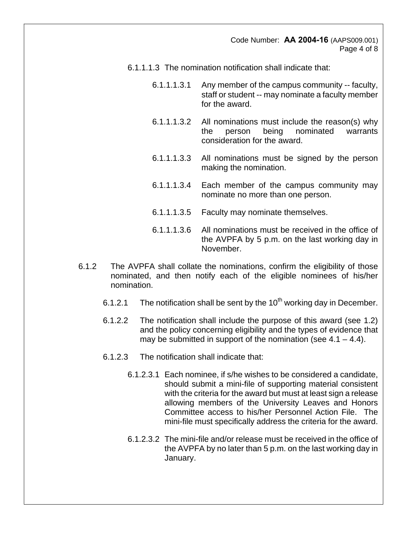Code Number: **AA 2004-16** (AAPS009.001) Page 4 of 8

- 6.1.1.1.3 The nomination notification shall indicate that:
	- 6.1.1.1.3.1 Any member of the campus community -- faculty, staff or student -- may nominate a faculty member for the award.
	- 6.1.1.1.3.2 All nominations must include the reason(s) why the person being nominated warrants consideration for the award.
	- 6.1.1.1.3.3 All nominations must be signed by the person making the nomination.
	- 6.1.1.1.3.4 Each member of the campus community may nominate no more than one person.
	- 6.1.1.1.3.5 Faculty may nominate themselves.
	- 6.1.1.1.3.6 All nominations must be received in the office of the AVPFA by 5 p.m. on the last working day in November.
- 6.1.2 The AVPFA shall collate the nominations, confirm the eligibility of those nominated, and then notify each of the eligible nominees of his/her nomination.
	- 6.1.2.1 The notification shall be sent by the  $10<sup>th</sup>$  working day in December.
	- 6.1.2.2 The notification shall include the purpose of this award (see 1.2) and the policy concerning eligibility and the types of evidence that may be submitted in support of the nomination (see  $4.1 - 4.4$ ).
	- 6.1.2.3 The notification shall indicate that:
		- 6.1.2.3.1 Each nominee, if s/he wishes to be considered a candidate, should submit a mini-file of supporting material consistent with the criteria for the award but must at least sign a release allowing members of the University Leaves and Honors Committee access to his/her Personnel Action File. The mini-file must specifically address the criteria for the award.
		- 6.1.2.3.2 The mini-file and/or release must be received in the office of the AVPFA by no later than 5 p.m. on the last working day in January.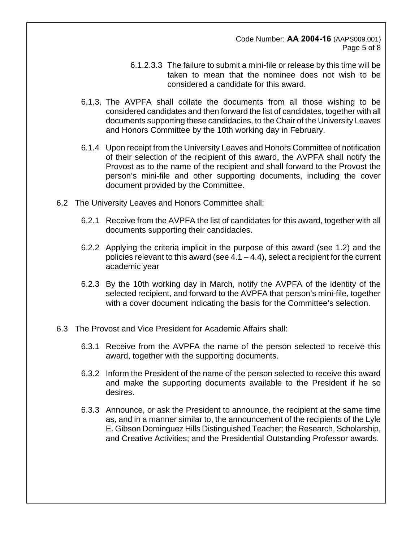Code Number: **AA 2004-16** (AAPS009.001) Page 5 of 8

- 6.1.2.3.3 The failure to submit a mini-file or release by this time will be taken to mean that the nominee does not wish to be considered a candidate for this award.
- 6.1.3. The AVPFA shall collate the documents from all those wishing to be considered candidates and then forward the list of candidates, together with all documents supporting these candidacies, to the Chair of the University Leaves and Honors Committee by the 10th working day in February.
- 6.1.4 Upon receipt from the University Leaves and Honors Committee of notification of their selection of the recipient of this award, the AVPFA shall notify the Provost as to the name of the recipient and shall forward to the Provost the person's mini-file and other supporting documents, including the cover document provided by the Committee.
- 6.2 The University Leaves and Honors Committee shall:
	- 6.2.1 Receive from the AVPFA the list of candidates for this award, together with all documents supporting their candidacies.
	- 6.2.2 Applying the criteria implicit in the purpose of this award (see 1.2) and the policies relevant to this award (see  $4.1 - 4.4$ ), select a recipient for the current academic year
	- 6.2.3 By the 10th working day in March, notify the AVPFA of the identity of the selected recipient, and forward to the AVPFA that person's mini-file, together with a cover document indicating the basis for the Committee's selection.
- 6.3 The Provost and Vice President for Academic Affairs shall:
	- 6.3.1 Receive from the AVPFA the name of the person selected to receive this award, together with the supporting documents.
	- 6.3.2 Inform the President of the name of the person selected to receive this award and make the supporting documents available to the President if he so desires.
	- 6.3.3 Announce, or ask the President to announce, the recipient at the same time as, and in a manner similar to, the announcement of the recipients of the Lyle E. Gibson Dominguez Hills Distinguished Teacher; the Research, Scholarship, and Creative Activities; and the Presidential Outstanding Professor awards.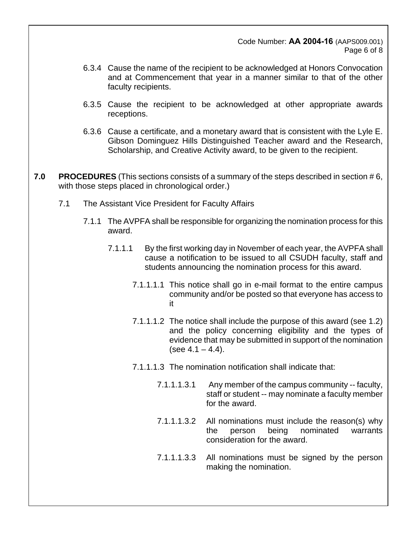Code Number: **AA 2004-16** (AAPS009.001) Page 6 of 8

- 6.3.4 Cause the name of the recipient to be acknowledged at Honors Convocation and at Commencement that year in a manner similar to that of the other faculty recipients.
- 6.3.5 Cause the recipient to be acknowledged at other appropriate awards receptions.
- 6.3.6 Cause a certificate, and a monetary award that is consistent with the Lyle E. Gibson Dominguez Hills Distinguished Teacher award and the Research, Scholarship, and Creative Activity award, to be given to the recipient.
- **7.0 PROCEDURES** (This sections consists of a summary of the steps described in section # 6, with those steps placed in chronological order.)
	- 7.1 The Assistant Vice President for Faculty Affairs
		- 7.1.1 The AVPFA shall be responsible for organizing the nomination process for this award.
			- 7.1.1.1 By the first working day in November of each year, the AVPFA shall cause a notification to be issued to all CSUDH faculty, staff and students announcing the nomination process for this award.
				- 7.1.1.1.1 This notice shall go in e-mail format to the entire campus community and/or be posted so that everyone has access to it
				- 7.1.1.1.2 The notice shall include the purpose of this award (see 1.2) and the policy concerning eligibility and the types of evidence that may be submitted in support of the nomination (see  $4.1 - 4.4$ ).
				- 7.1.1.1.3 The nomination notification shall indicate that:
					- 7.1.1.1.3.1 Any member of the campus community -- faculty, staff or student -- may nominate a faculty member for the award.
					- 7.1.1.1.3.2 All nominations must include the reason(s) why the person being nominated warrants consideration for the award.
					- 7.1.1.1.3.3 All nominations must be signed by the person making the nomination.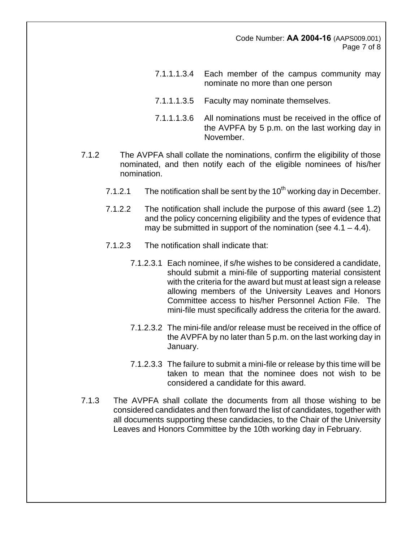Code Number: **AA 2004-16** (AAPS009.001) Page 7 of 8

- 7.1.1.1.3.4 Each member of the campus community may nominate no more than one person
- 7.1.1.1.3.5 Faculty may nominate themselves.
- 7.1.1.1.3.6 All nominations must be received in the office of the AVPFA by 5 p.m. on the last working day in November.
- 7.1.2 The AVPFA shall collate the nominations, confirm the eligibility of those nominated, and then notify each of the eligible nominees of his/her nomination.
	- 7.1.2.1 The notification shall be sent by the  $10<sup>th</sup>$  working day in December.
	- 7.1.2.2 The notification shall include the purpose of this award (see 1.2) and the policy concerning eligibility and the types of evidence that may be submitted in support of the nomination (see  $4.1 - 4.4$ ).
	- 7.1.2.3 The notification shall indicate that:
		- 7.1.2.3.1 Each nominee, if s/he wishes to be considered a candidate, should submit a mini-file of supporting material consistent with the criteria for the award but must at least sign a release allowing members of the University Leaves and Honors Committee access to his/her Personnel Action File. The mini-file must specifically address the criteria for the award.
		- 7.1.2.3.2 The mini-file and/or release must be received in the office of the AVPFA by no later than 5 p.m. on the last working day in January.
		- 7.1.2.3.3 The failure to submit a mini-file or release by this time will be taken to mean that the nominee does not wish to be considered a candidate for this award.
- 7.1.3 The AVPFA shall collate the documents from all those wishing to be considered candidates and then forward the list of candidates, together with all documents supporting these candidacies, to the Chair of the University Leaves and Honors Committee by the 10th working day in February.